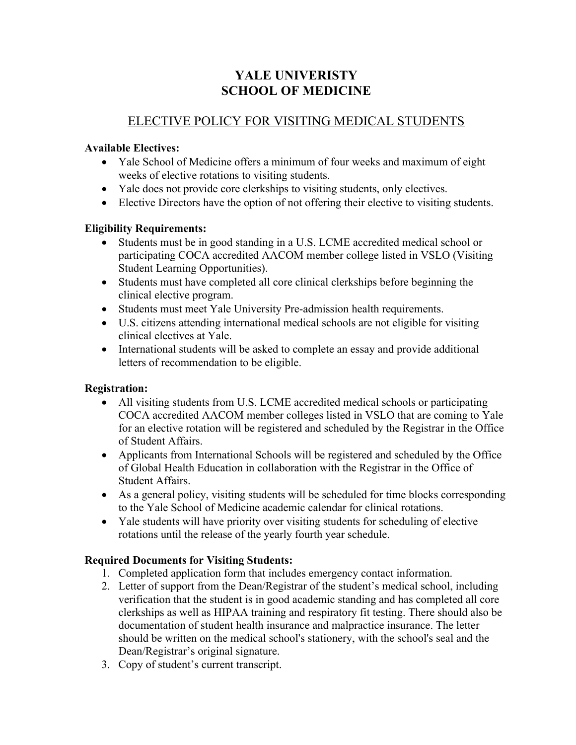# **YALE UNIVERISTY SCHOOL OF MEDICINE**

# ELECTIVE POLICY FOR VISITING MEDICAL STUDENTS

## **Available Electives:**

- Yale School of Medicine offers a minimum of four weeks and maximum of eight weeks of elective rotations to visiting students.
- Yale does not provide core clerkships to visiting students, only electives.
- Elective Directors have the option of not offering their elective to visiting students.

## **Eligibility Requirements:**

- Students must be in good standing in a U.S. LCME accredited medical school or participating COCA accredited AACOM member college listed in VSLO (Visiting Student Learning Opportunities).
- Students must have completed all core clinical clerkships before beginning the clinical elective program.
- Students must meet Yale University Pre-admission health requirements.
- U.S. citizens attending international medical schools are not eligible for visiting clinical electives at Yale.
- International students will be asked to complete an essay and provide additional letters of recommendation to be eligible.

## **Registration:**

- All visiting students from U.S. LCME accredited medical schools or participating COCA accredited AACOM member colleges listed in VSLO that are coming to Yale for an elective rotation will be registered and scheduled by the Registrar in the Office of Student Affairs.
- Applicants from International Schools will be registered and scheduled by the Office of Global Health Education in collaboration with the Registrar in the Office of Student Affairs.
- As a general policy, visiting students will be scheduled for time blocks corresponding to the Yale School of Medicine academic calendar for clinical rotations.
- Yale students will have priority over visiting students for scheduling of elective rotations until the release of the yearly fourth year schedule.

## **Required Documents for Visiting Students:**

- 1. Completed application form that includes emergency contact information.
- 2. Letter of support from the Dean/Registrar of the student's medical school, including verification that the student is in good academic standing and has completed all core clerkships as well as HIPAA training and respiratory fit testing. There should also be documentation of student health insurance and malpractice insurance. The letter should be written on the medical school's stationery, with the school's seal and the Dean/Registrar's original signature.
- 3. Copy of student's current transcript.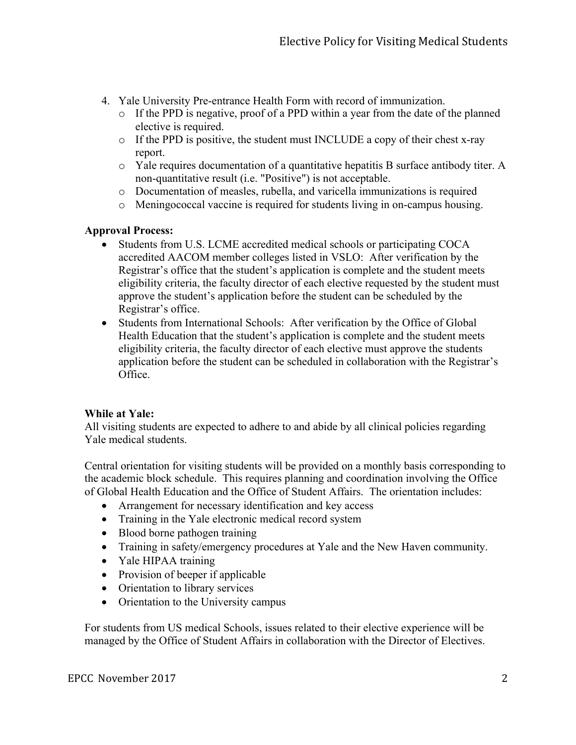- 4. Yale University Pre-entrance Health Form with record of immunization.
	- o If the PPD is negative, proof of a PPD within a year from the date of the planned elective is required.
	- o If the PPD is positive, the student must INCLUDE a copy of their chest x-ray report.
	- o Yale requires documentation of a quantitative hepatitis B surface antibody titer. A non-quantitative result (i.e. "Positive") is not acceptable.
	- o Documentation of measles, rubella, and varicella immunizations is required
	- o Meningococcal vaccine is required for students living in on-campus housing.

## **Approval Process:**

- Students from U.S. LCME accredited medical schools or participating COCA accredited AACOM member colleges listed in VSLO: After verification by the Registrar's office that the student's application is complete and the student meets eligibility criteria, the faculty director of each elective requested by the student must approve the student's application before the student can be scheduled by the Registrar's office.
- Students from International Schools: After verification by the Office of Global Health Education that the student's application is complete and the student meets eligibility criteria, the faculty director of each elective must approve the students application before the student can be scheduled in collaboration with the Registrar's Office.

### **While at Yale:**

All visiting students are expected to adhere to and abide by all clinical policies regarding Yale medical students.

Central orientation for visiting students will be provided on a monthly basis corresponding to the academic block schedule. This requires planning and coordination involving the Office of Global Health Education and the Office of Student Affairs. The orientation includes:

- Arrangement for necessary identification and key access
- Training in the Yale electronic medical record system
- Blood borne pathogen training
- Training in safety/emergency procedures at Yale and the New Haven community.
- Yale HIPAA training
- Provision of beeper if applicable
- Orientation to library services
- Orientation to the University campus

For students from US medical Schools, issues related to their elective experience will be managed by the Office of Student Affairs in collaboration with the Director of Electives.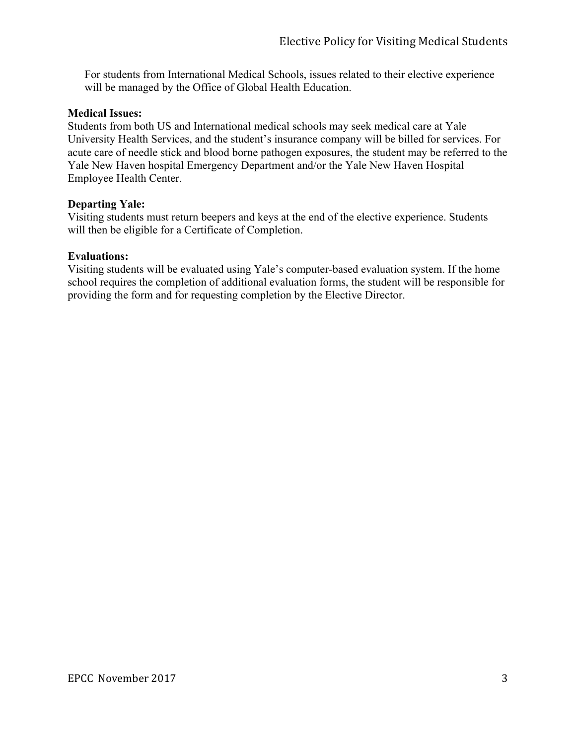For students from International Medical Schools, issues related to their elective experience will be managed by the Office of Global Health Education.

### **Medical Issues:**

Students from both US and International medical schools may seek medical care at Yale University Health Services, and the student's insurance company will be billed for services. For acute care of needle stick and blood borne pathogen exposures, the student may be referred to the Yale New Haven hospital Emergency Department and/or the Yale New Haven Hospital Employee Health Center.

#### **Departing Yale:**

Visiting students must return beepers and keys at the end of the elective experience. Students will then be eligible for a Certificate of Completion.

#### **Evaluations:**

Visiting students will be evaluated using Yale's computer-based evaluation system. If the home school requires the completion of additional evaluation forms, the student will be responsible for providing the form and for requesting completion by the Elective Director.